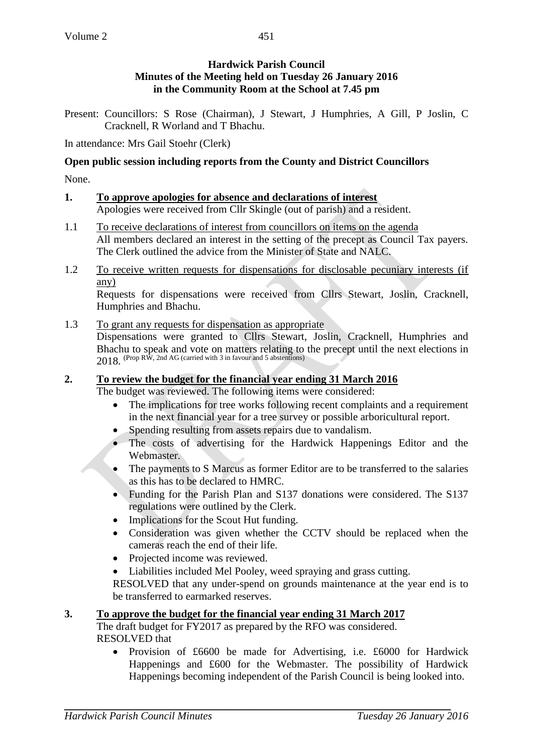### **Hardwick Parish Council Minutes of the Meeting held on Tuesday 26 January 2016 in the Community Room at the School at 7.45 pm**

Present: Councillors: S Rose (Chairman), J Stewart, J Humphries, A Gill, P Joslin, C Cracknell, R Worland and T Bhachu.

In attendance: Mrs Gail Stoehr (Clerk)

### **Open public session including reports from the County and District Councillors**

None.

#### **1. To approve apologies for absence and declarations of interest** Apologies were received from Cllr Skingle (out of parish) and a resident.

- 1.1 To receive declarations of interest from councillors on items on the agenda All members declared an interest in the setting of the precept as Council Tax payers. The Clerk outlined the advice from the Minister of State and NALC.
- 1.2 To receive written requests for dispensations for disclosable pecuniary interests (if any)

Requests for dispensations were received from Cllrs Stewart, Joslin, Cracknell, Humphries and Bhachu.

#### 1.3 To grant any requests for dispensation as appropriate Dispensations were granted to Cllrs Stewart, Joslin, Cracknell, Humphries and Bhachu to speak and vote on matters relating to the precept until the next elections in  $2018.$  (Prop RW, 2nd AG (carried with 3 in favour and 5 abstentions)

# **2. To review the budget for the financial year ending 31 March 2016**

The budget was reviewed. The following items were considered:

- The implications for tree works following recent complaints and a requirement in the next financial year for a tree survey or possible arboricultural report.
- Spending resulting from assets repairs due to vandalism.
- The costs of advertising for the Hardwick Happenings Editor and the Webmaster.
- The payments to S Marcus as former Editor are to be transferred to the salaries as this has to be declared to HMRC.
- Funding for the Parish Plan and S137 donations were considered. The S137 regulations were outlined by the Clerk.
- Implications for the Scout Hut funding.
- Consideration was given whether the CCTV should be replaced when the cameras reach the end of their life.
- Projected income was reviewed.
- Liabilities included Mel Pooley, weed spraying and grass cutting.

RESOLVED that any under-spend on grounds maintenance at the year end is to be transferred to earmarked reserves.

# **3. To approve the budget for the financial year ending 31 March 2017**

The draft budget for FY2017 as prepared by the RFO was considered. RESOLVED that

• Provision of £6600 be made for Advertising, i.e. £6000 for Hardwick Happenings and £600 for the Webmaster. The possibility of Hardwick Happenings becoming independent of the Parish Council is being looked into.